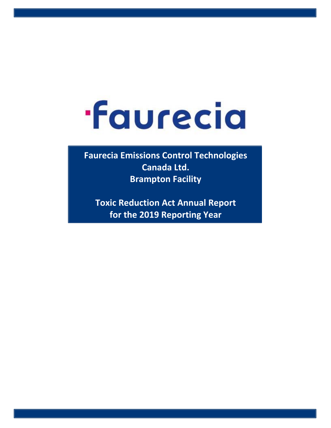## **·Faurecia**

**Faurecia Emissions Control Technologies Canada Ltd. Brampton Facility** 

**Toxic Reduction Act Annual Report for the 2019 Reporting Year**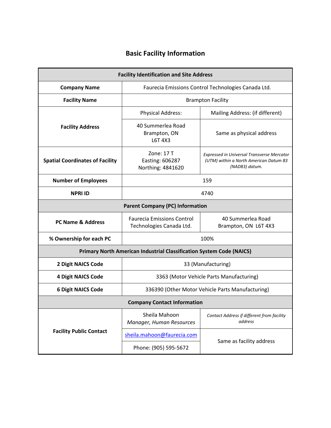## **Basic Facility Information**

| <b>Facility Identification and Site Address</b>                             |                                                               |                                                                                                               |  |  |  |  |  |  |  |  |  |  |
|-----------------------------------------------------------------------------|---------------------------------------------------------------|---------------------------------------------------------------------------------------------------------------|--|--|--|--|--|--|--|--|--|--|
| <b>Company Name</b>                                                         | Faurecia Emissions Control Technologies Canada Ltd.           |                                                                                                               |  |  |  |  |  |  |  |  |  |  |
| <b>Facility Name</b>                                                        | <b>Brampton Facility</b>                                      |                                                                                                               |  |  |  |  |  |  |  |  |  |  |
|                                                                             | <b>Physical Address:</b>                                      | Mailing Address: (if different)                                                                               |  |  |  |  |  |  |  |  |  |  |
| <b>Facility Address</b>                                                     | 40 Summerlea Road<br>Brampton, ON<br>L6T 4X3                  | Same as physical address                                                                                      |  |  |  |  |  |  |  |  |  |  |
| <b>Spatial Coordinates of Facility</b>                                      | Zone: 17 T<br>Easting: 606287<br>Northing: 4841620            | <b>Expressed in Universal Transverse Mercator</b><br>(UTM) within a North American Datum 83<br>(NAD83) datum. |  |  |  |  |  |  |  |  |  |  |
| <b>Number of Employees</b><br>159                                           |                                                               |                                                                                                               |  |  |  |  |  |  |  |  |  |  |
| <b>NPRI ID</b><br>4740                                                      |                                                               |                                                                                                               |  |  |  |  |  |  |  |  |  |  |
| <b>Parent Company (PC) Information</b>                                      |                                                               |                                                                                                               |  |  |  |  |  |  |  |  |  |  |
| <b>PC Name &amp; Address</b>                                                | <b>Faurecia Emissions Control</b><br>Technologies Canada Ltd. | 40 Summerlea Road<br>Brampton, ON L6T 4X3                                                                     |  |  |  |  |  |  |  |  |  |  |
| % Ownership for each PC                                                     | 100%                                                          |                                                                                                               |  |  |  |  |  |  |  |  |  |  |
| <b>Primary North American Industrial Classification System Code (NAICS)</b> |                                                               |                                                                                                               |  |  |  |  |  |  |  |  |  |  |
| <b>2 Digit NAICS Code</b>                                                   | 33 (Manufacturing)                                            |                                                                                                               |  |  |  |  |  |  |  |  |  |  |
| <b>4 Digit NAICS Code</b>                                                   | 3363 (Motor Vehicle Parts Manufacturing)                      |                                                                                                               |  |  |  |  |  |  |  |  |  |  |
| <b>6 Digit NAICS Code</b>                                                   | 336390 (Other Motor Vehicle Parts Manufacturing)              |                                                                                                               |  |  |  |  |  |  |  |  |  |  |
| <b>Company Contact Information</b>                                          |                                                               |                                                                                                               |  |  |  |  |  |  |  |  |  |  |
|                                                                             | Sheila Mahoon<br>Manager, Human Resources                     | Contact Address if different from facility<br>address                                                         |  |  |  |  |  |  |  |  |  |  |
| <b>Facility Public Contact</b>                                              | sheila.mahoon@faurecia.com                                    |                                                                                                               |  |  |  |  |  |  |  |  |  |  |
|                                                                             | Phone: (905) 595-5672                                         | Same as facility address                                                                                      |  |  |  |  |  |  |  |  |  |  |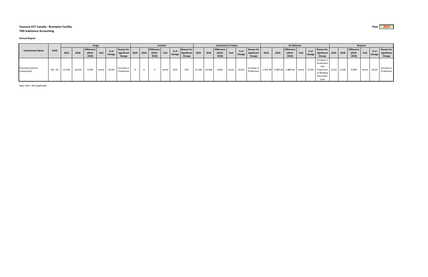## **Faurecia ECT Canada ‐ Brampton Facility Year 2019 TRA Substance Accounting**

**Annual Report**

|                                 | CAS#    | <b>Usage</b> |        |                                  |       |                |                                            | Creation |           |                                         |       |                  |                                            | <b>Contained In Product</b> |        |                                         |       |                |                                            | <b>Air Releases</b> |      |                                         |      |                |                                                                                                      | <b>Disposal</b> |  |                                         |      |                |                                            |
|---------------------------------|---------|--------------|--------|----------------------------------|-------|----------------|--------------------------------------------|----------|-----------|-----------------------------------------|-------|------------------|--------------------------------------------|-----------------------------|--------|-----------------------------------------|-------|----------------|--------------------------------------------|---------------------|------|-----------------------------------------|------|----------------|------------------------------------------------------------------------------------------------------|-----------------|--|-----------------------------------------|------|----------------|--------------------------------------------|
| <b>Contaminant Name</b>         |         | 2019         | 2018   | Difference<br>$(2019 -$<br>2018) | Unit  | % of<br>Change | <b>Reason for</b><br>Significant<br>Change |          | 2019 2018 | <b>Difference</b><br>$(2019 -$<br>2018) | Unit  | $%$ of<br>Change | <b>Reason for</b><br>Significant<br>Change | 2019                        | 2018   | <b>Difference</b><br>$(2019 -$<br>2018) | Unit  | % of<br>Change | <b>Reason for</b><br>Significant<br>Change | 2019                | 2018 | <b>Difference</b><br>$(2019 -$<br>2018) | Unit | % of<br>Change | Reason for<br>Significant   2019   2018<br>Change                                                    |                 |  | <b>Difference</b><br>$(2019 -$<br>2018) | Unit | % of<br>Change | <b>Reason for</b><br>Significant<br>Change |
| Chromium (and its<br>compounds) | NA - 04 | 21.564       | 16.634 | 4.930                            | tonne | 29.6%          | Increase in<br>Production                  |          |           |                                         | tonne | N/A              | $N/\ell$                                   | 21.349                      | 16.468 | 4.881                                   | tonne | 29.6%          | Increase in<br>Production                  | 5.87E-06            |      | 3.99E-06 1.88E-06 tonne                 |      |                | Increase in<br>Production<br>and<br>47.0% Proportion 0.216 0.166<br>of Welding<br>Electrodes<br>Used |                 |  | 0.049                                   |      | tonne 29.6%    | Increase in<br>Production                  |

Note: N/A = Not Applicable